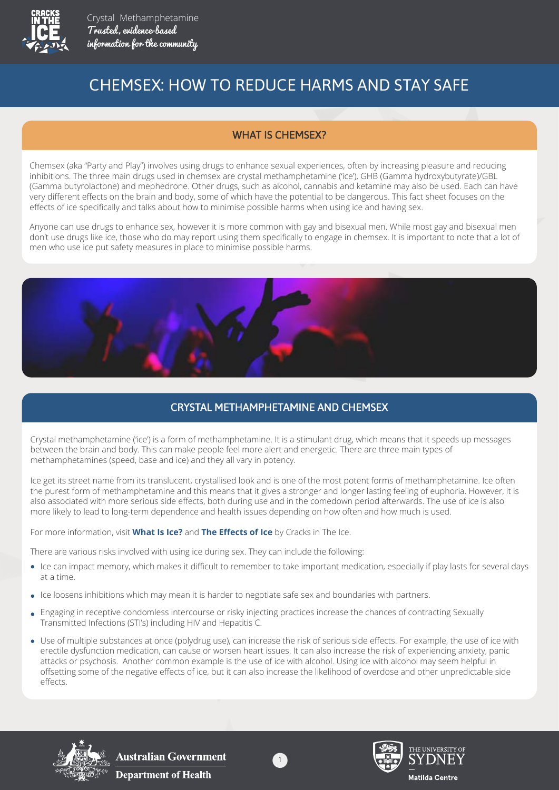

# CHEMSEX: HOW TO REDUCE HARMS AND STAY SAFE

### WHAT IS CHEMSEX?

Chemsex (aka "Party and Play") involves using drugs to enhance sexual experiences, often by increasing pleasure and reducing inhibitions. The three main drugs used in chemsex are crystal methamphetamine ('ice'), GHB (Gamma hydroxybutyrate)/GBL (Gamma butyrolactone) and mephedrone. Other drugs, such as alcohol, cannabis and ketamine may also be used. Each can have very different effects on the brain and body, some of which have the potential to be dangerous. This fact sheet focuses on the effects of ice specifically and talks about how to minimise possible harms when using ice and having sex.

Anyone can use drugs to enhance sex, however it is more common with gay and bisexual men. While most gay and bisexual men don't use drugs like ice, those who do may report using them specifically to engage in chemsex. It is important to note that a lot of men who use ice put safety measures in place to minimise possible harms.



### CRYSTAL METHAMPHETAMINE AND CHEMSEX

Crystal methamphetamine ('ice') is a form of methamphetamine. It is a stimulant drug, which means that it speeds up messages between the brain and body. This can make people feel more alert and energetic. There are three main types of methamphetamines (speed, base and ice) and they all vary in potency.

Ice get its street name from its translucent, crystallised look and is one of the most potent forms of methamphetamine. Ice often the purest form of methamphetamine and this means that it gives a stronger and longer lasting feeling of euphoria. However, it is also associated with more serious side effects, both during use and in the comedown period afterwards. The use of ice is also more likely to lead to long-term dependence and health issues depending on how often and how much is used.

For more information, visit **What Is Ice?** and **The Effects of Ice** by Cracks in The Ice.

There are various risks involved with using ice during sex. They can include the following:

- Ice can impact memory, which makes it difficult to remember to take important medication, especially if play lasts for several days at a time.
- Ice loosens inhibitions which may mean it is harder to negotiate safe sex and boundaries with partners.
- Engaging in receptive condomless intercourse or risky injecting practices increase the chances of contracting Sexually Transmitted Infections (STI's) including HIV and Hepatitis C.
- Use of multiple substances at once (polydrug use), can increase the risk of serious side effects. For example, the use of ice with erectile dysfunction medication, can cause or worsen heart issues. It can also increase the risk of experiencing anxiety, panic attacks or psychosis. Another common example is the use of ice with alcohol. Using ice with alcohol may seem helpful in offsetting some of the negative effects of ice, but it can also increase the likelihood of overdose and other unpredictable side effects.



**Australian Government Department of Health** 



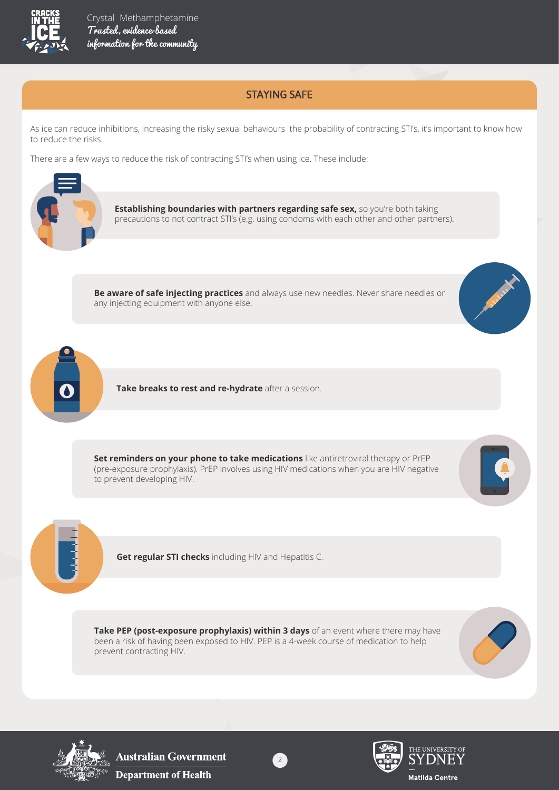

## STAYING SAFE

As ice can reduce inhibitions, increasing the risky sexual behaviours the probability of contracting STI's, it's important to know how to reduce the risks.

There are a few ways to reduce the risk of contracting STI's when using ice. These include:





**Australian Government Department of Health**